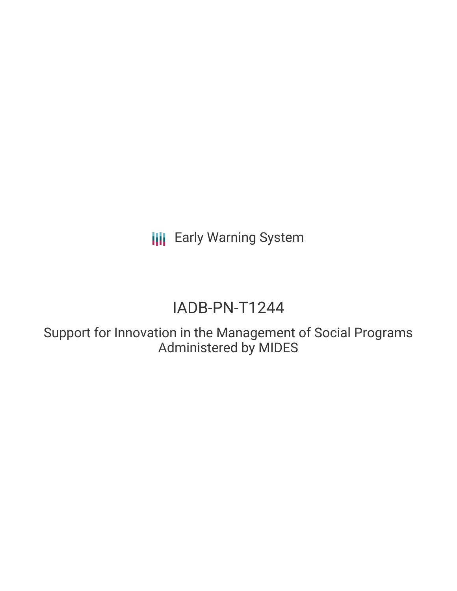**III** Early Warning System

# IADB-PN-T1244

Support for Innovation in the Management of Social Programs Administered by MIDES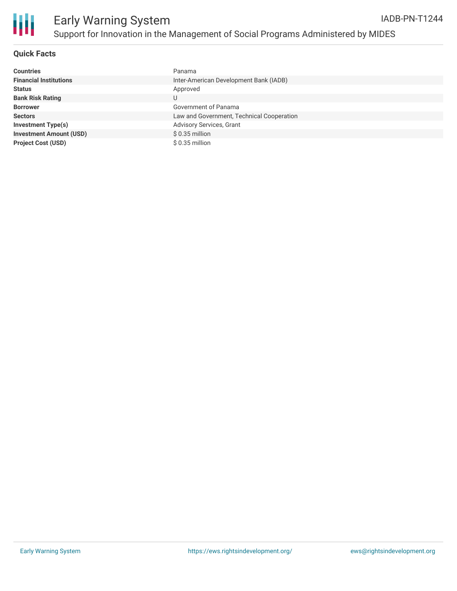

#### **Quick Facts**

| <b>Countries</b>               | Panama                                    |
|--------------------------------|-------------------------------------------|
| <b>Financial Institutions</b>  | Inter-American Development Bank (IADB)    |
| <b>Status</b>                  | Approved                                  |
| <b>Bank Risk Rating</b>        | U                                         |
| <b>Borrower</b>                | Government of Panama                      |
| <b>Sectors</b>                 | Law and Government, Technical Cooperation |
| <b>Investment Type(s)</b>      | Advisory Services, Grant                  |
| <b>Investment Amount (USD)</b> | $$0.35$ million                           |
| <b>Project Cost (USD)</b>      | $$0.35$ million                           |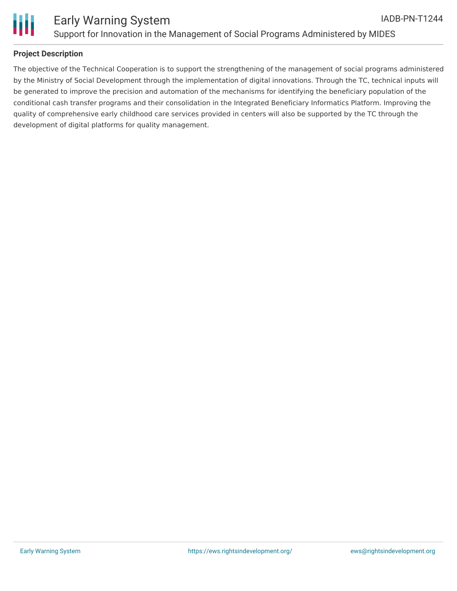

### **Project Description**

The objective of the Technical Cooperation is to support the strengthening of the management of social programs administered by the Ministry of Social Development through the implementation of digital innovations. Through the TC, technical inputs will be generated to improve the precision and automation of the mechanisms for identifying the beneficiary population of the conditional cash transfer programs and their consolidation in the Integrated Beneficiary Informatics Platform. Improving the quality of comprehensive early childhood care services provided in centers will also be supported by the TC through the development of digital platforms for quality management.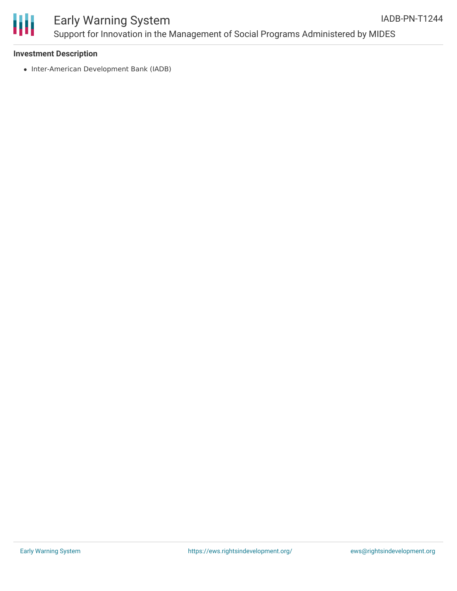

#### **Investment Description**

• Inter-American Development Bank (IADB)